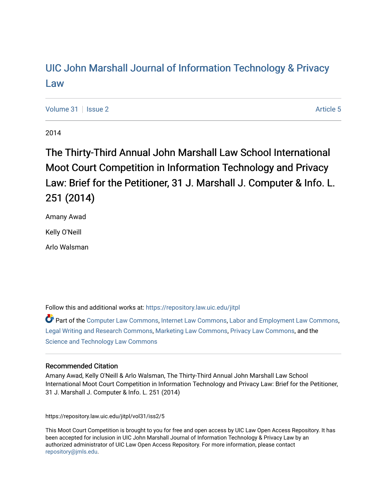# [UIC John Marshall Journal of Information Technology & Privacy](https://repository.law.uic.edu/jitpl)  [Law](https://repository.law.uic.edu/jitpl)

[Volume 31](https://repository.law.uic.edu/jitpl/vol31) | [Issue 2](https://repository.law.uic.edu/jitpl/vol31/iss2) Article 5

2014

# The Thirty-Third Annual John Marshall Law School International Moot Court Competition in Information Technology and Privacy Law: Brief for the Petitioner, 31 J. Marshall J. Computer & Info. L. 251 (2014)

Amany Awad

Kelly O'Neill

Arlo Walsman

Follow this and additional works at: [https://repository.law.uic.edu/jitpl](https://repository.law.uic.edu/jitpl?utm_source=repository.law.uic.edu%2Fjitpl%2Fvol31%2Fiss2%2F5&utm_medium=PDF&utm_campaign=PDFCoverPages) 

Part of the [Computer Law Commons,](http://network.bepress.com/hgg/discipline/837?utm_source=repository.law.uic.edu%2Fjitpl%2Fvol31%2Fiss2%2F5&utm_medium=PDF&utm_campaign=PDFCoverPages) [Internet Law Commons,](http://network.bepress.com/hgg/discipline/892?utm_source=repository.law.uic.edu%2Fjitpl%2Fvol31%2Fiss2%2F5&utm_medium=PDF&utm_campaign=PDFCoverPages) [Labor and Employment Law Commons](http://network.bepress.com/hgg/discipline/909?utm_source=repository.law.uic.edu%2Fjitpl%2Fvol31%2Fiss2%2F5&utm_medium=PDF&utm_campaign=PDFCoverPages), [Legal Writing and Research Commons,](http://network.bepress.com/hgg/discipline/614?utm_source=repository.law.uic.edu%2Fjitpl%2Fvol31%2Fiss2%2F5&utm_medium=PDF&utm_campaign=PDFCoverPages) [Marketing Law Commons](http://network.bepress.com/hgg/discipline/1045?utm_source=repository.law.uic.edu%2Fjitpl%2Fvol31%2Fiss2%2F5&utm_medium=PDF&utm_campaign=PDFCoverPages), [Privacy Law Commons](http://network.bepress.com/hgg/discipline/1234?utm_source=repository.law.uic.edu%2Fjitpl%2Fvol31%2Fiss2%2F5&utm_medium=PDF&utm_campaign=PDFCoverPages), and the [Science and Technology Law Commons](http://network.bepress.com/hgg/discipline/875?utm_source=repository.law.uic.edu%2Fjitpl%2Fvol31%2Fiss2%2F5&utm_medium=PDF&utm_campaign=PDFCoverPages)

# Recommended Citation

Amany Awad, Kelly O'Neill & Arlo Walsman, The Thirty-Third Annual John Marshall Law School International Moot Court Competition in Information Technology and Privacy Law: Brief for the Petitioner, 31 J. Marshall J. Computer & Info. L. 251 (2014)

https://repository.law.uic.edu/jitpl/vol31/iss2/5

This Moot Court Competition is brought to you for free and open access by UIC Law Open Access Repository. It has been accepted for inclusion in UIC John Marshall Journal of Information Technology & Privacy Law by an authorized administrator of UIC Law Open Access Repository. For more information, please contact [repository@jmls.edu](mailto:repository@jmls.edu).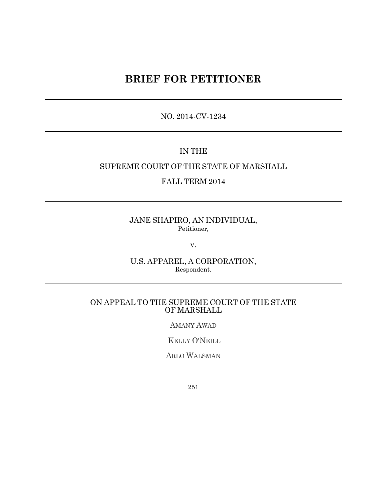# **BRIEF FOR PETITIONER**

NO. 2014-CV-1234

# IN THE

# SUPREME COURT OF THE STATE OF MARSHALL

FALL TERM 2014

JANE SHAPIRO, AN INDIVIDUAL, Petitioner*,*

V.

U.S. APPAREL, A CORPORATION, Respondent*.*

### ON APPEAL TO THE SUPREME COURT OF THE STATE OF MARSHALL

AMANY AWAD

KELLY O'NEILL

ARLO WALSMAN

251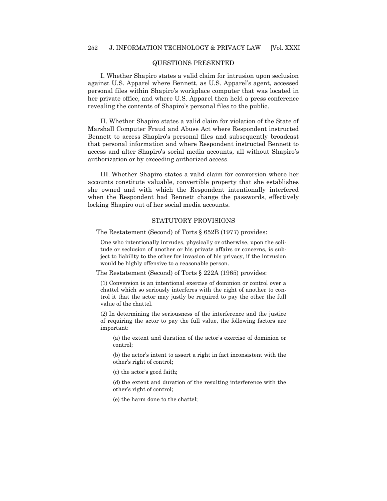#### QUESTIONS PRESENTED

I. Whether Shapiro states a valid claim for intrusion upon seclusion against U.S. Apparel where Bennett, as U.S. Apparel's agent, accessed personal files within Shapiro's workplace computer that was located in her private office, and where U.S. Apparel then held a press conference revealing the contents of Shapiro's personal files to the public.

II. Whether Shapiro states a valid claim for violation of the State of Marshall Computer Fraud and Abuse Act where Respondent instructed Bennett to access Shapiro's personal files and subsequently broadcast that personal information and where Respondent instructed Bennett to access and alter Shapiro's social media accounts, all without Shapiro's authorization or by exceeding authorized access.

III. Whether Shapiro states a valid claim for conversion where her accounts constitute valuable, convertible property that she establishes she owned and with which the Respondent intentionally interfered when the Respondent had Bennett change the passwords, effectively locking Shapiro out of her social media accounts.

#### STATUTORY PROVISIONS

The Restatement (Second) of Torts § 652B (1977) provides:

One who intentionally intrudes, physically or otherwise, upon the solitude or seclusion of another or his private affairs or concerns, is subject to liability to the other for invasion of his privacy, if the intrusion would be highly offensive to a reasonable person.

The Restatement (Second) of Torts § 222A (1965) provides:

(1) Conversion is an intentional exercise of dominion or control over a chattel which so seriously interferes with the right of another to control it that the actor may justly be required to pay the other the full value of the chattel.

(2) In determining the seriousness of the interference and the justice of requiring the actor to pay the full value, the following factors are important:

(a) the extent and duration of the actor's exercise of dominion or control;

(b) the actor's intent to assert a right in fact inconsistent with the other's right of control;

(c) the actor's good faith;

(d) the extent and duration of the resulting interference with the other's right of control;

(e) the harm done to the chattel;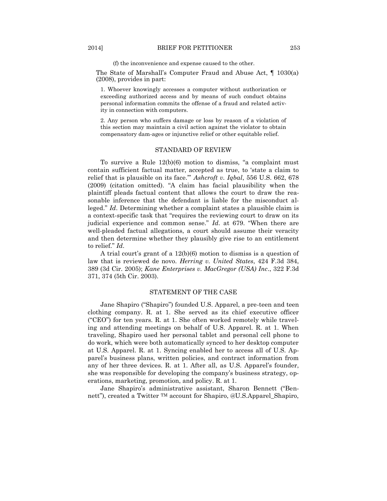#### 2014] BRIEF FOR PETITIONER 253

(f) the inconvenience and expense caused to the other.

The State of Marshall's Computer Fraud and Abuse Act, ¶ 1030(a) (2008), provides in part:

1. Whoever knowingly accesses a computer without authorization or exceeding authorized access and by means of such conduct obtains personal information commits the offense of a fraud and related activity in connection with computers.

2. Any person who suffers damage or loss by reason of a violation of this section may maintain a civil action against the violator to obtain compensatory dam-ages or injunctive relief or other equitable relief.

#### STANDARD OF REVIEW

To survive a Rule  $12(b)(6)$  motion to dismiss, "a complaint must contain sufficient factual matter, accepted as true, to 'state a claim to relief that is plausible on its face." Ashcroft v. Iqbal, 556 U.S. 662, 678  $(2009)$  (citation omitted).  $A$  claim has facial plausibility when the plaintiff pleads factual content that allows the court to draw the reasonable inference that the defendant is liable for the misconduct alleged." *Id*. Determining whether a complaint states a plausible claim is a context-specific task that "requires the reviewing court to draw on its judicial experience and common sense."  $Id$ . at 679. "When there are well-pleaded factual allegations, a court should assume their veracity and then determine whether they plausibly give rise to an entitlement to relief." *Id.* 

A trial court's grant of a 12(b)(6) motion to dismiss is a question of law that is reviewed de novo. *Herring v. United States*, 424 F.3d 384, 389 (3d Cir. 2005); *Kane Enterprises v. MacGregor (USA) Inc*., 322 F.3d 371, 374 (5th Cir. 2003).

#### STATEMENT OF THE CASE

Jane Shapiro ("Shapiro") founded U.S. Apparel, a pre-teen and teen clothing company. R. at 1. She served as its chief executive officer  $(CEO'')$  for ten years. R. at 1. She often worked remotely while traveling and attending meetings on behalf of U.S. Apparel. R. at 1. When traveling, Shapiro used her personal tablet and personal cell phone to do work, which were both automatically synced to her desktop computer at U.S. Apparel. R. at 1. Syncing enabled her to access all of U.S. Apparel's business plans, written policies, and contract information from any of her three devices. R. at 1. After all, as U.S. Apparel's founder, she was responsible for developing the company's business strategy, operations, marketing, promotion, and policy. R. at 1.

Jane Shapiro's administrative assistant, Sharon Bennett ("Bennett"), created a Twitter <sup>TM</sup> account for Shapiro, @U.S.Apparel Shapiro,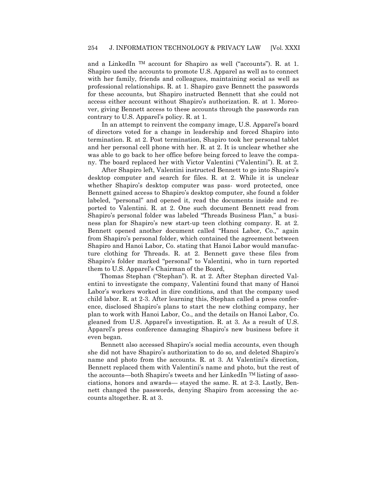and a LinkedIn  $TM$  account for Shapiro as well ("accounts"). R. at 1. Shapiro used the accounts to promote U.S. Apparel as well as to connect with her family, friends and colleagues, maintaining social as well as professional relationships. R. at 1. Shapiro gave Bennett the passwords for these accounts, but Shapiro instructed Bennett that she could not access either account without Shapiro's authorization. R. at 1. Moreover, giving Bennett access to these accounts through the passwords ran contrary to U.S. Apparel's policy. R. at 1.

In an attempt to reinvent the company image, U.S. Apparel's board of directors voted for a change in leadership and forced Shapiro into termination. R. at 2. Post termination, Shapiro took her personal tablet and her personal cell phone with her. R. at 2. It is unclear whether she was able to go back to her office before being forced to leave the company. The board replaced her with Victor Valentini ("Valentini"). R. at 2.

After Shapiro left, Valentini instructed Bennett to go into Shapiro's desktop computer and search for files. R. at 2. While it is unclear whether Shapiro's desktop computer was pass- word protected, once Bennett gained access to Shapiro's desktop computer, she found a folder labeled, "personal" and opened it, read the documents inside and reported to Valentini. R. at 2. One such document Bennett read from Shapiro's personal folder was labeled "Threads Business Plan," a business plan for Shapiro's new start-up teen clothing company. R. at 2. Bennett opened another document called "Hanoi Labor, Co.," again from Shapiro's personal folder, which contained the agreement between Shapiro and Hanoi Labor, Co. stating that Hanoi Labor would manufacture clothing for Threads. R. at 2. Bennett gave these files from Shapiro's folder marked "personal" to Valentini, who in turn reported them to U.S. Apparel's Chairman of the Board,

Thomas Stephan ("Stephan"). R. at 2. After Stephan directed Valentini to investigate the company, Valentini found that many of Hanoi Labor's workers worked in dire conditions, and that the company used child labor. R. at 2-3. After learning this, Stephan called a press conference, disclosed Shapiro's plans to start the new clothing company, her plan to work with Hanoi Labor, Co., and the details on Hanoi Labor, Co. gleaned from U.S. Apparel's investigation. R. at 3. As a result of U.S. Apparel's press conference damaging Shapiro's new business before it even began.

Bennett also accessed Shapiro's social media accounts, even though she did not have Shapiro's authorization to do so, and deleted Shapiro's name and photo from the accounts. R. at 3. At Valentini's direction, Bennett replaced them with Valentini's name and photo, but the rest of the accounts—both Shapiro's tweets and her LinkedIn TM listing of associations, honors and awards— stayed the same. R. at 2-3. Lastly, Bennett changed the passwords, denying Shapiro from accessing the accounts altogether. R. at 3.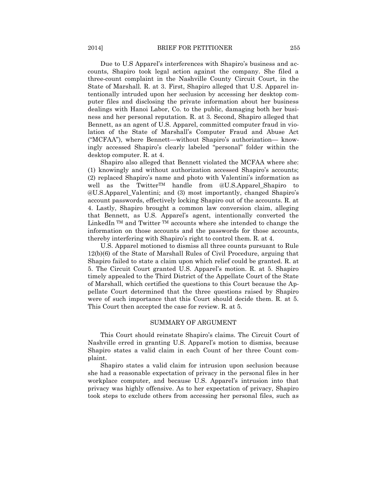Due to U.S Apparel's interferences with Shapiro's business and accounts, Shapiro took legal action against the company. She filed a three-count complaint in the Nashville County Circuit Court, in the State of Marshall. R. at 3. First, Shapiro alleged that U.S. Apparel intentionally intruded upon her seclusion by accessing her desktop computer files and disclosing the private information about her business dealings with Hanoi Labor, Co. to the public, damaging both her business and her personal reputation. R. at 3. Second, Shapiro alleged that Bennett, as an agent of U.S. Apparel, committed computer fraud in violation of the State of Marshall's Computer Fraud and Abuse Act (―MCFAA‖), where Bennett—without Shapiro's authorization— knowingly accessed Shapiro's clearly labeled "personal" folder within the desktop computer. R. at 4.

Shapiro also alleged that Bennett violated the MCFAA where she: (1) knowingly and without authorization accessed Shapiro's accounts; (2) replaced Shapiro's name and photo with Valentini's information as well as the Twitter<sup>TM</sup> handle from @U.S.Apparel Shapiro to @U.S.Apparel\_Valentini; and (3) most importantly, changed Shapiro's account passwords, effectively locking Shapiro out of the accounts. R. at 4. Lastly, Shapiro brought a common law conversion claim, alleging that Bennett, as U.S. Apparel's agent, intentionally converted the LinkedIn  $TM$  and Twitter  $TM$  accounts where she intended to change the information on those accounts and the passwords for those accounts, thereby interfering with Shapiro's right to control them. R. at 4.

U.S. Apparel motioned to dismiss all three counts pursuant to Rule 12(b)(6) of the State of Marshall Rules of Civil Procedure, arguing that Shapiro failed to state a claim upon which relief could be granted. R. at 5. The Circuit Court granted U.S. Apparel's motion. R. at 5. Shapiro timely appealed to the Third District of the Appellate Court of the State of Marshall, which certified the questions to this Court because the Appellate Court determined that the three questions raised by Shapiro were of such importance that this Court should decide them. R. at 5. This Court then accepted the case for review. R. at 5.

#### SUMMARY OF ARGUMENT

This Court should reinstate Shapiro's claims. The Circuit Court of Nashville erred in granting U.S. Apparel's motion to dismiss, because Shapiro states a valid claim in each Count of her three Count complaint.

Shapiro states a valid claim for intrusion upon seclusion because she had a reasonable expectation of privacy in the personal files in her workplace computer, and because U.S. Apparel's intrusion into that privacy was highly offensive. As to her expectation of privacy, Shapiro took steps to exclude others from accessing her personal files, such as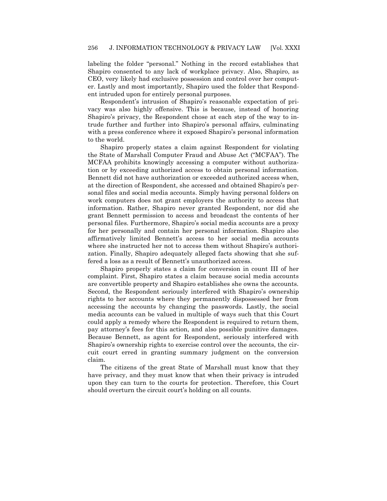labeling the folder "personal." Nothing in the record establishes that Shapiro consented to any lack of workplace privacy. Also, Shapiro, as CEO, very likely had exclusive possession and control over her computer. Lastly and most importantly, Shapiro used the folder that Respondent intruded upon for entirely personal purposes.

Respondent's intrusion of Shapiro's reasonable expectation of privacy was also highly offensive. This is because, instead of honoring Shapiro's privacy, the Respondent chose at each step of the way to intrude further and further into Shapiro's personal affairs, culminating with a press conference where it exposed Shapiro's personal information to the world.

Shapiro properly states a claim against Respondent for violating the State of Marshall Computer Fraud and Abuse Act ("MCFAA"). The MCFAA prohibits knowingly accessing a computer without authorization or by exceeding authorized access to obtain personal information. Bennett did not have authorization or exceeded authorized access when, at the direction of Respondent, she accessed and obtained Shapiro's personal files and social media accounts. Simply having personal folders on work computers does not grant employers the authority to access that information. Rather, Shapiro never granted Respondent, nor did she grant Bennett permission to access and broadcast the contents of her personal files. Furthermore, Shapiro's social media accounts are a proxy for her personally and contain her personal information. Shapiro also affirmatively limited Bennett's access to her social media accounts where she instructed her not to access them without Shapiro's authorization. Finally, Shapiro adequately alleged facts showing that she suffered a loss as a result of Bennett's unauthorized access.

Shapiro properly states a claim for conversion in count III of her complaint. First, Shapiro states a claim because social media accounts are convertible property and Shapiro establishes she owns the accounts. Second, the Respondent seriously interfered with Shapiro's ownership rights to her accounts where they permanently dispossessed her from accessing the accounts by changing the passwords. Lastly, the social media accounts can be valued in multiple of ways such that this Court could apply a remedy where the Respondent is required to return them, pay attorney's fees for this action, and also possible punitive damages. Because Bennett, as agent for Respondent, seriously interfered with Shapiro's ownership rights to exercise control over the accounts, the circuit court erred in granting summary judgment on the conversion claim.

The citizens of the great State of Marshall must know that they have privacy, and they must know that when their privacy is intruded upon they can turn to the courts for protection. Therefore, this Court should overturn the circuit court's holding on all counts.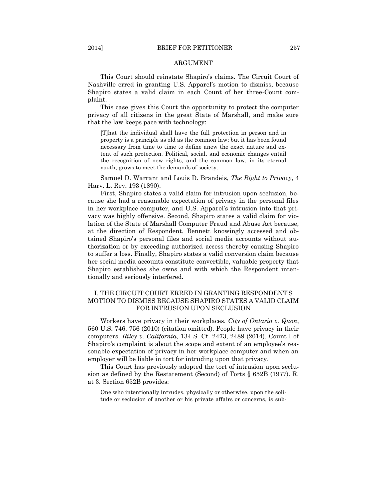#### ARGUMENT

This Court should reinstate Shapiro's claims. The Circuit Court of Nashville erred in granting U.S. Apparel's motion to dismiss, because Shapiro states a valid claim in each Count of her three-Count complaint.

This case gives this Court the opportunity to protect the computer privacy of all citizens in the great State of Marshall, and make sure that the law keeps pace with technology:

[T]hat the individual shall have the full protection in person and in property is a principle as old as the common law; but it has been found necessary from time to time to define anew the exact nature and extent of such protection. Political, social, and economic changes entail the recognition of new rights, and the common law, in its eternal youth, grows to meet the demands of society.

Samuel D. Warrant and Louis D. Brandeis, *The Right to Privacy*, 4 Harv. L. Rev. 193 (1890).

First, Shapiro states a valid claim for intrusion upon seclusion, because she had a reasonable expectation of privacy in the personal files in her workplace computer, and U.S. Apparel's intrusion into that privacy was highly offensive. Second, Shapiro states a valid claim for violation of the State of Marshall Computer Fraud and Abuse Act because, at the direction of Respondent, Bennett knowingly accessed and obtained Shapiro's personal files and social media accounts without authorization or by exceeding authorized access thereby causing Shapiro to suffer a loss. Finally, Shapiro states a valid conversion claim because her social media accounts constitute convertible, valuable property that Shapiro establishes she owns and with which the Respondent intentionally and seriously interfered.

#### I. THE CIRCUIT COURT ERRED IN GRANTING RESPONDENT'S MOTION TO DISMISS BECAUSE SHAPIRO STATES A VALID CLAIM FOR INTRUSION UPON SECLUSION

Workers have privacy in their workplaces. *City of Ontario v. Quon*, 560 U.S. 746, 756 (2010) (citation omitted). People have privacy in their computers. *Riley v. California*, 134 S. Ct. 2473, 2489 (2014). Count I of Shapiro's complaint is about the scope and extent of an employee's reasonable expectation of privacy in her workplace computer and when an employer will be liable in tort for intruding upon that privacy.

This Court has previously adopted the tort of intrusion upon seclusion as defined by the Restatement (Second) of Torts § 652B (1977). R. at 3. Section 652B provides:

One who intentionally intrudes, physically or otherwise, upon the solitude or seclusion of another or his private affairs or concerns, is sub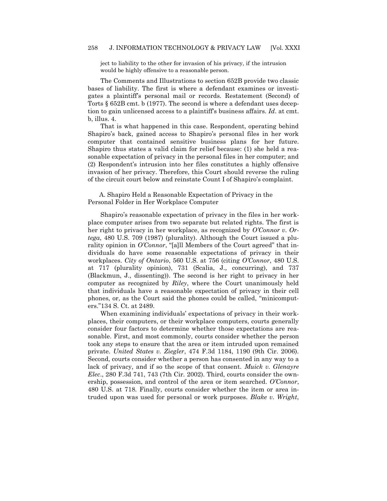ject to liability to the other for invasion of his privacy, if the intrusion would be highly offensive to a reasonable person.

The Comments and Illustrations to section 652B provide two classic bases of liability. The first is where a defendant examines or investigates a plaintiff's personal mail or records. Restatement (Second) of Torts § 652B cmt. b (1977). The second is where a defendant uses deception to gain unlicensed access to a plaintiff's business affairs. *Id*. at cmt. b, illus. 4.

That is what happened in this case. Respondent, operating behind Shapiro's back, gained access to Shapiro's personal files in her work computer that contained sensitive business plans for her future. Shapiro thus states a valid claim for relief because: (1) she held a reasonable expectation of privacy in the personal files in her computer; and (2) Respondent's intrusion into her files constitutes a highly offensive invasion of her privacy. Therefore, this Court should reverse the ruling of the circuit court below and reinstate Count I of Shapiro's complaint.

A. Shapiro Held a Reasonable Expectation of Privacy in the Personal Folder in Her Workplace Computer

Shapiro's reasonable expectation of privacy in the files in her workplace computer arises from two separate but related rights. The first is her right to privacy in her workplace, as recognized by *O'Connor v. Ortega*, 480 U.S. 709 (1987) (plurality). Although the Court issued a plurality opinion in *O'Connor*, "[a]ll Members of the Court agreed" that individuals do have some reasonable expectations of privacy in their workplaces. *City of Ontario*, 560 U.S. at 756 (citing *O'Connor*, 480 U.S. at 717 (plurality opinion), 731 (Scalia, J., concurring), and 737 (Blackmun, J., dissenting)). The second is her right to privacy in her computer as recognized by *Riley*, where the Court unanimously held that individuals have a reasonable expectation of privacy in their cell phones, or, as the Court said the phones could be called, "minicomputers."134 S. Ct. at 2489.

When examining individuals' expectations of privacy in their workplaces, their computers, or their workplace computers, courts generally consider four factors to determine whether those expectations are reasonable. First, and most commonly, courts consider whether the person took any steps to ensure that the area or item intruded upon remained private. *United States v. Ziegler*, 474 F.3d 1184, 1190 (9th Cir. 2006). Second, courts consider whether a person has consented in any way to a lack of privacy, and if so the scope of that consent. *Muick v. Glenayre Elec*., 280 F.3d 741, 743 (7th Cir. 2002). Third, courts consider the ownership, possession, and control of the area or item searched. *O'Connor*, 480 U.S. at 718. Finally, courts consider whether the item or area intruded upon was used for personal or work purposes. *Blake v. Wright*,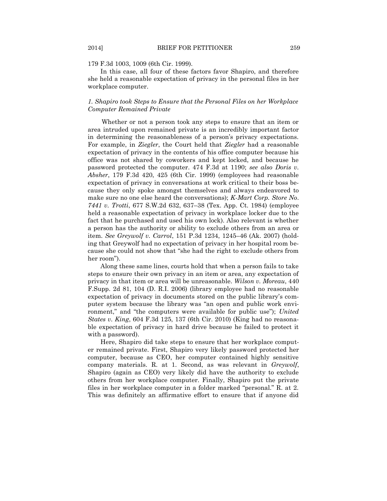#### 179 F.3d 1003, 1009 (6th Cir. 1999).

In this case, all four of these factors favor Shapiro, and therefore she held a reasonable expectation of privacy in the personal files in her workplace computer.

#### *1. Shapiro took Steps to Ensure that the Personal Files on her Workplace Computer Remained Private*

Whether or not a person took any steps to ensure that an item or area intruded upon remained private is an incredibly important factor in determining the reasonableness of a person's privacy expectations. For example, in *Ziegler*, the Court held that *Ziegler* had a reasonable expectation of privacy in the contents of his office computer because his office was not shared by coworkers and kept locked, and because he password protected the computer. 474 F.3d at 1190; *see also Doris v. Absher*, 179 F.3d 420, 425 (6th Cir. 1999) (employees had reasonable expectation of privacy in conversations at work critical to their boss because they only spoke amongst themselves and always endeavored to make sure no one else heard the conversations); *K-Mart Corp. Store No*. *7441 v. Trotti*, 677 S.W.2d 632, 637–38 (Tex. App. Ct. 1984) (employee held a reasonable expectation of privacy in workplace locker due to the fact that he purchased and used his own lock). Also relevant is whether a person has the authority or ability to exclude others from an area or item. *See Greywolf v. Carrol*, 151 P.3d 1234, 1245–46 (Ak. 2007) (holding that Greywolf had no expectation of privacy in her hospital room because she could not show that "she had the right to exclude others from her room").

Along these same lines, courts hold that when a person fails to take steps to ensure their own privacy in an item or area, any expectation of privacy in that item or area will be unreasonable. *Wilson v. Moreau*, 440 F.Supp. 2d 81, 104 (D. R.I. 2006) (library employee had no reasonable expectation of privacy in documents stored on the public library's computer system because the library was "an open and public work environment," and "the computers were available for public use"); *United States v. King*, 604 F.3d 125, 137 (6th Cir. 2010) (King had no reasonable expectation of privacy in hard drive because he failed to protect it with a password).

Here, Shapiro did take steps to ensure that her workplace computer remained private. First, Shapiro very likely password protected her computer, because as CEO, her computer contained highly sensitive company materials. R. at 1. Second, as was relevant in *Greywolf*, Shapiro (again as CEO) very likely did have the authority to exclude others from her workplace computer. Finally, Shapiro put the private files in her workplace computer in a folder marked "personal." R. at 2. This was definitely an affirmative effort to ensure that if anyone did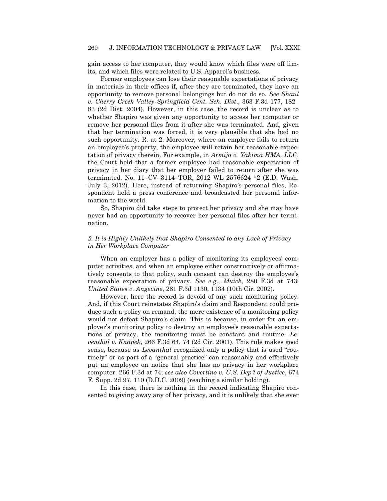gain access to her computer, they would know which files were off limits, and which files were related to U.S. Apparel's business.

Former employees can lose their reasonable expectations of privacy in materials in their offices if, after they are terminated, they have an opportunity to remove personal belongings but do not do so. *See Shaul v. Cherry Creek Valley-Springfield Cent. Sch. Dist*., 363 F.3d 177, 182– 83 (2d Dist. 2004). However, in this case, the record is unclear as to whether Shapiro was given any opportunity to access her computer or remove her personal files from it after she was terminated. And, given that her termination was forced, it is very plausible that she had no such opportunity. R. at 2. Moreover, where an employer fails to return an employee's property, the employee will retain her reasonable expectation of privacy therein. For example, in *Armijo v. Yakima HMA, LLC*, the Court held that a former employee had reasonable expectation of privacy in her diary that her employer failed to return after she was terminated. No. 11–CV–3114–TOR, 2012 WL 2576624 \*2 (E.D. Wash. July 3, 2012). Here, instead of returning Shapiro's personal files, Respondent held a press conference and broadcasted her personal information to the world.

So, Shapiro did take steps to protect her privacy and she may have never had an opportunity to recover her personal files after her termination.

#### *2. It is Highly Unlikely that Shapiro Consented to any Lack of Privacy in Her Workplace Computer*

When an employer has a policy of monitoring its employees' computer activities, and when an employee either constructively or affirmatively consents to that policy, such consent can destroy the employee's reasonable expectation of privacy. *See e*.*g*., *Muick*, 280 F.3d at 743; *United States v. Angevine*, 281 F.3d 1130, 1134 (10th Cir. 2002).

However, here the record is devoid of any such monitoring policy. And, if this Court reinstates Shapiro's claim and Respondent could produce such a policy on remand, the mere existence of a monitoring policy would not defeat Shapiro's claim. This is because, in order for an employer's monitoring policy to destroy an employee's reasonable expectations of privacy, the monitoring must be constant and routine. *Leventhal v. Knapek*, 266 F.3d 64, 74 (2d Cir. 2001). This rule makes good sense, because as *Levanthal* recognized only a policy that is used "routinely" or as part of a "general practice" can reasonably and effectively put an employee on notice that she has no privacy in her workplace computer. 266 F.3d at 74; *see also Covertino v. U.S. Dep't of Justice*, 674 F. Supp. 2d 97, 110 (D.D.C. 2009) (reaching a similar holding).

In this case, there is nothing in the record indicating Shapiro consented to giving away any of her privacy, and it is unlikely that she ever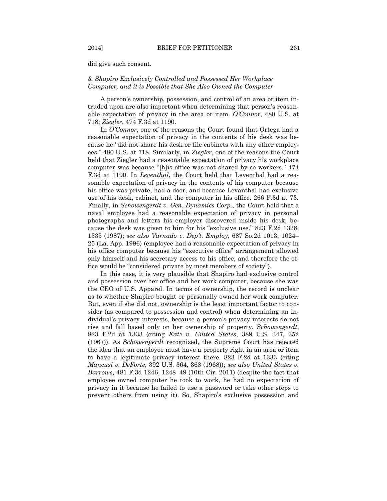did give such consent.

#### *3. Shapiro Exclusively Controlled and Possessed Her Workplace Computer, and it is Possible that She Also Owned the Computer*

A person's ownership, possession, and control of an area or item intruded upon are also important when determining that person's reasonable expectation of privacy in the area or item. *O'Connor*, 480 U.S. at 718; *Ziegler*, 474 F.3d at 1190.

In *O'Connor*, one of the reasons the Court found that Ortega had a reasonable expectation of privacy in the contents of his desk was because he "did not share his desk or file cabinets with any other employees.‖ 480 U.S. at 718. Similarly, in *Ziegler*, one of the reasons the Court held that Ziegler had a reasonable expectation of privacy his workplace computer was because "[h]is office was not shared by co-workers."  $474$ F.3d at 1190. In *Leventhal*, the Court held that Leventhal had a reasonable expectation of privacy in the contents of his computer because his office was private, had a door, and because Levanthal had exclusive use of his desk, cabinet, and the computer in his office. 266 F.3d at 73. Finally, in *Schowengerdt v. Gen. Dynamics Corp.*, the Court held that a naval employee had a reasonable expectation of privacy in personal photographs and letters his employer discovered inside his desk, because the desk was given to him for his "exclusive use."  $823$  F.2d 1328, 1335 (1987); *see also Varnado v. Dep't. Employ*, 687 So.2d 1013, 1024– 25 (La. App. 1996) (employee had a reasonable expectation of privacy in his office computer because his "executive office" arrangement allowed only himself and his secretary access to his office, and therefore the office would be "considered private by most members of society").

In this case, it is very plausible that Shapiro had exclusive control and possession over her office and her work computer, because she was the CEO of U.S. Apparel. In terms of ownership, the record is unclear as to whether Shapiro bought or personally owned her work computer. But, even if she did not, ownership is the least important factor to consider (as compared to possession and control) when determining an individual's privacy interests, because a person's privacy interests do not rise and fall based only on her ownership of property. *Schowengerdt*, 823 F.2d at 1333 (citing *Katz v. United States*, 389 U.S. 347, 352 (1967)). As *Schowengerdt* recognized, the Supreme Court has rejected the idea that an employee must have a property right in an area or item to have a legitimate privacy interest there. 823 F.2d at 1333 (citing *Mancusi v. DeForte*, 392 U.S. 364, 368 (1968)); *see also United States v. Barrows*, 481 F.3d 1246, 1248–49 (10th Cir. 2011) (despite the fact that employee owned computer he took to work, he had no expectation of privacy in it because he failed to use a password or take other steps to prevent others from using it). So, Shapiro's exclusive possession and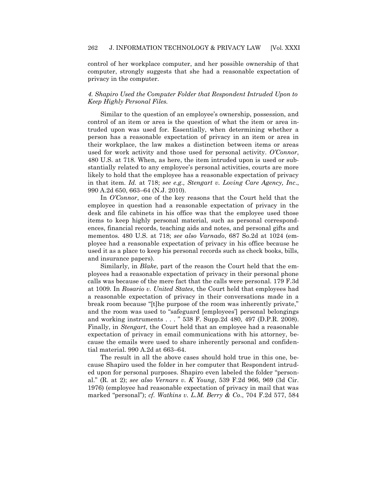control of her workplace computer, and her possible ownership of that computer, strongly suggests that she had a reasonable expectation of privacy in the computer.

#### *4. Shapiro Used the Computer Folder that Respondent Intruded Upon to Keep Highly Personal Files.*

Similar to the question of an employee's ownership, possession, and control of an item or area is the question of what the item or area intruded upon was used for. Essentially, when determining whether a person has a reasonable expectation of privacy in an item or area in their workplace, the law makes a distinction between items or areas used for work activity and those used for personal activity. *O'Connor*, 480 U.S. at 718. When, as here, the item intruded upon is used or substantially related to any employee's personal activities, courts are more likely to hold that the employee has a reasonable expectation of privacy in that item. *Id.* at 718; *see e.g., Stengart v. Loving Care Agency, Inc*., 990 A.2d 650, 663–64 (N.J. 2010).

In *O'Connor*, one of the key reasons that the Court held that the employee in question had a reasonable expectation of privacy in the desk and file cabinets in his office was that the employee used those items to keep highly personal material, such as personal correspondences, financial records, teaching aids and notes, and personal gifts and mementos. 480 U.S. at 718; *see also Varnado*, 687 So.2d at 1024 (employee had a reasonable expectation of privacy in his office because he used it as a place to keep his personal records such as check books, bills, and insurance papers).

Similarly, in *Blake*, part of the reason the Court held that the employees had a reasonable expectation of privacy in their personal phone calls was because of the mere fact that the calls were personal. 179 F.3d at 1009. In *Rosario v. United States*, the Court held that employees had a reasonable expectation of privacy in their conversations made in a break room because "[t]he purpose of the room was inherently private," and the room was used to "safeguard [employees'] personal belongings and working instruments . . . " 538 F. Supp.2d 480, 497 (D.P.R. 2008). Finally, in *Stengart*, the Court held that an employee had a reasonable expectation of privacy in email communications with his attorney, because the emails were used to share inherently personal and confidential material. 990 A.2d at 663–64.

The result in all the above cases should hold true in this one, because Shapiro used the folder in her computer that Respondent intruded upon for personal purposes. Shapiro even labeled the folder "personal.‖ (R. at 2); *see also Vernars v. K Young*, 539 F.2d 966, 969 (3d Cir. 1976) (employee had reasonable expectation of privacy in mail that was marked "personal"); *cf. Watkins v. L.M. Berry & Co.*, 704 F.2d 577, 584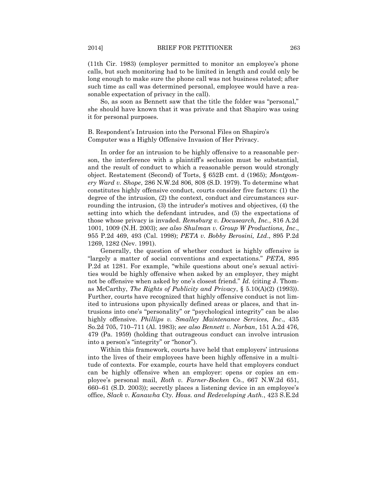(11th Cir. 1983) (employer permitted to monitor an employee's phone calls, but such monitoring had to be limited in length and could only be long enough to make sure the phone call was not business related; after such time as call was determined personal, employee would have a reasonable expectation of privacy in the call).

So, as soon as Bennett saw that the title the folder was "personal," she should have known that it was private and that Shapiro was using it for personal purposes.

B. Respondent's Intrusion into the Personal Files on Shapiro's Computer was a Highly Offensive Invasion of Her Privacy.

In order for an intrusion to be highly offensive to a reasonable person, the interference with a plaintiff's seclusion must be substantial, and the result of conduct to which a reasonable person would strongly object. Restatement (Second) of Torts, § 652B cmt. d (1965); *Montgomery Ward v. Shope*, 286 N.W.2d 806, 808 (S.D. 1979). To determine what constitutes highly offensive conduct, courts consider five factors: (1) the degree of the intrusion, (2) the context, conduct and circumstances surrounding the intrusion, (3) the intruder's motives and objectives, (4) the setting into which the defendant intrudes, and (5) the expectations of those whose privacy is invaded. *Remsburg v. Docusearch, Inc.*, 816 A.2d 1001, 1009 (N.H. 2003); *see also Shulman v. Group W Productions, Inc*., 955 P.2d 469, 493 (Cal. 1998); *PETA v. Bobby Berosini, Ltd*., 895 P.2d 1269, 1282 (Nev. 1991).

Generally, the question of whether conduct is highly offensive is ―largely a matter of social conventions and expectations.‖ *PETA*, 895 P.2d at 1281. For example, "while questions about one's sexual activities would be highly offensive when asked by an employer, they might not be offensive when asked by one's closest friend." *Id.* (citing J. Thomas McCarthy, *The Rights of Publicity and Privacy*, § 5.10(A)(2) (1993)). Further, courts have recognized that highly offensive conduct is not limited to intrusions upon physically defined areas or places, and that intrusions into one's "personality" or "psychological integrity" can be also highly offensive. *Phillips v. Smalley Maintenance Services, Inc*., 435 So.2d 705, 710–711 (Al. 1983); *see also Bennett v. Norban*, 151 A.2d 476, 479 (Pa. 1959) (holding that outrageous conduct can involve intrusion into a person's "integrity" or "honor".

Within this framework, courts have held that employers' intrusions into the lives of their employees have been highly offensive in a multitude of contexts. For example, courts have held that employers conduct can be highly offensive when an employer: opens or copies an employee's personal mail, *Roth v. Farner-Bocken Co.*, 667 N.W.2d 651, 660–61 (S.D. 2003)); secretly places a listening device in an employee's office, *Slack v. Kanawha Cty. Hous. and Redeveloping Auth.*, 423 S.E.2d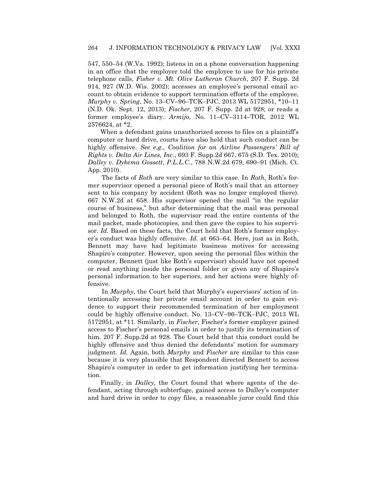547, 550–54 (W.Va. 1992); listens in on a phone conversation happening in an office that the employer told the employee to use for his private telephone calls, *Fisher v. Mt. Olive Lutheran Church*, 207 F. Supp. 2d 914, 927 (W.D. Wis. 2002); accesses an employee's personal email account to obtain evidence to support termination efforts of the employee, *Murphy v. Spring*, No. 13–CV–96–TCK–PJC, 2013 WL 5172951, \*10–11 (N.D. Ok. Sept. 12, 2013); *Fischer*, 207 F. Supp. 2d at 928; or reads a former employee's diary. *Armijo*, No. 11–CV–3114–TOR, 2012 WL 2576624, at \*2.

When a defendant gains unauthorized access to files on a plaintiff's computer or hard drive, courts have also held that such conduct can be highly offensive. *See e.g.*, *Coalition for an Airline Passengers' Bill of Rights v. Delta Air Lines, Inc*., 693 F. Supp.2d 667, 675 (S.D. Tex. 2010); *Dalley v. Dykema Gossett*, *P.L.L.C*., 788 N.W.2d 679, 690–91 (Mich. Ct. App. 2010).

The facts of *Roth* are very similar to this case. In *Roth*, Roth's former supervisor opened a personal piece of Roth's mail that an attorney sent to his company by accident (Roth was no longer employed there). 667 N.W.2d at 658. His supervisor opened the mail "in the regular course of business," but after determining that the mail was personal and belonged to Roth, the supervisor read the entire contents of the mail packet, made photocopies, and then gave the copies to his supervisor. *Id.* Based on these facts, the Court held that Roth's former employer's conduct was highly offensive. *Id*. at 663–64. Here, just as in Roth, Bennett may have had legitimate business motives for accessing Shapiro's computer. However, upon seeing the personal files within the computer, Bennett (just like Roth's supervisor) should have not opened or read anything inside the personal folder or given any of Shapiro's personal information to her superiors, and her actions were highly offensive.

In *Murphy*, the Court held that Murphy's supervisors' action of intentionally accessing her private email account in order to gain evidence to support their recommended termination of her employment could be highly offensive conduct. No. 13–CV–96–TCK–PJC, 2013 WL 5172951, at \*11. Similarly, in *Fischer*, Fischer's former employer gained access to Fischer's personal emails in order to justify its termination of him. 207 F. Supp.2d at 928. The Court held that this conduct could be highly offensive and thus denied the defendants' motion for summary judgment. *Id.* Again, both *Murphy* and *Fischer* are similar to this case because it is very plausible that Respondent directed Bennett to access Shapiro's computer in order to get information justifying her termination.

Finally, in *Dalley*, the Court found that where agents of the defendant, acting through subterfuge, gained access to Dalley's computer and hard drive in order to copy files, a reasonable juror could find this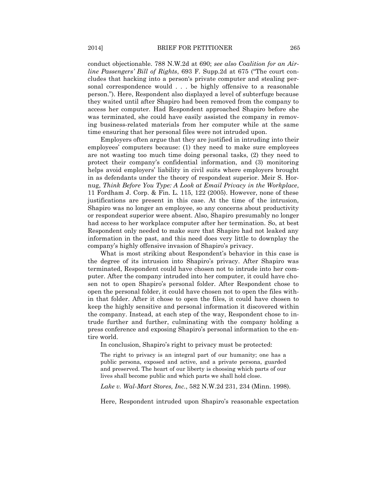conduct objectionable. 788 N.W.2d at 690; *see also Coalition for an Airline* Passengers' Bill of Rights, 693 F. Supp. 2d at 675 ("The court concludes that hacking into a person's private computer and stealing personal correspondence would . . . be highly offensive to a reasonable person.‖). Here, Respondent also displayed a level of subterfuge because they waited until after Shapiro had been removed from the company to access her computer. Had Respondent approached Shapiro before she was terminated, she could have easily assisted the company in removing business-related materials from her computer while at the same time ensuring that her personal files were not intruded upon.

Employers often argue that they are justified in intruding into their employees' computers because: (1) they need to make sure employees are not wasting too much time doing personal tasks, (2) they need to protect their company's confidential information, and (3) monitoring helps avoid employers' liability in civil suits where employers brought in as defendants under the theory of respondeat superior. Meir S. Hornug, *Think Before You Type: A Look at Email Privacy in the Workplace*, 11 Fordham J. Corp. & Fin. L. 115, 122 (2005). However, none of these justifications are present in this case. At the time of the intrusion, Shapiro was no longer an employee, so any concerns about productivity or respondeat superior were absent. Also, Shapiro presumably no longer had access to her workplace computer after her termination. So, at best Respondent only needed to make sure that Shapiro had not leaked any information in the past, and this need does very little to downplay the company's highly offensive invasion of Shapiro's privacy.

What is most striking about Respondent's behavior in this case is the degree of its intrusion into Shapiro's privacy. After Shapiro was terminated, Respondent could have chosen not to intrude into her computer. After the company intruded into her computer, it could have chosen not to open Shapiro's personal folder. After Respondent chose to open the personal folder, it could have chosen not to open the files within that folder. After it chose to open the files, it could have chosen to keep the highly sensitive and personal information it discovered within the company. Instead, at each step of the way, Respondent chose to intrude further and further, culminating with the company holding a press conference and exposing Shapiro's personal information to the entire world.

In conclusion, Shapiro's right to privacy must be protected:

The right to privacy is an integral part of our humanity; one has a public persona, exposed and active, and a private persona, guarded and preserved. The heart of our liberty is choosing which parts of our lives shall become public and which parts we shall hold close.

*Lake v. Wal-Mart Stores, Inc.*, 582 N.W.2d 231, 234 (Minn. 1998).

Here, Respondent intruded upon Shapiro's reasonable expectation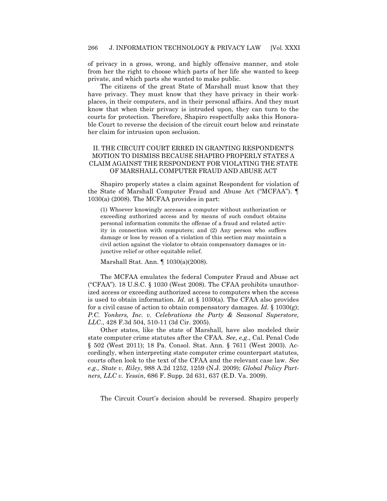of privacy in a gross, wrong, and highly offensive manner, and stole from her the right to choose which parts of her life she wanted to keep private, and which parts she wanted to make public.

The citizens of the great State of Marshall must know that they have privacy. They must know that they have privacy in their workplaces, in their computers, and in their personal affairs. And they must know that when their privacy is intruded upon, they can turn to the courts for protection. Therefore, Shapiro respectfully asks this Honorable Court to reverse the decision of the circuit court below and reinstate her claim for intrusion upon seclusion.

#### II. THE CIRCUIT COURT ERRED IN GRANTING RESPONDENT'S MOTION TO DISMISS BECAUSE SHAPIRO PROPERLY STATES A CLAIM AGAINST THE RESPONDENT FOR VIOLATING THE STATE OF MARSHALL COMPUTER FRAUD AND ABUSE ACT

Shapiro properly states a claim against Respondent for violation of the State of Marshall Computer Fraud and Abuse Act ("MCFAA"). 1030(a) (2008). The MCFAA provides in part:

(1) Whoever knowingly accesses a computer without authorization or exceeding authorized access and by means of such conduct obtains personal information commits the offense of a fraud and related activity in connection with computers; and (2) Any person who suffers damage or loss by reason of a violation of this section may maintain a civil action against the violator to obtain compensatory damages or injunctive relief or other equitable relief.

Marshall Stat. Ann. ¶ 1030(a)(2008).

The MCFAA emulates the federal Computer Fraud and Abuse act ("CFAA"). 18 U.S.C.  $\S$  1030 (West 2008). The CFAA prohibits unauthorized access or exceeding authorized access to computers when the access is used to obtain information. *Id.* at § 1030(a). The CFAA also provides for a civil cause of action to obtain compensatory damages. *Id.* § 1030(g); *P.C. Yonkers, Inc. v. Celebrations the Party & Seasonal Superstore, LLC*., 428 F.3d 504, 510-11 (3d Cir. 2005).

Other states, like the state of Marshall, have also modeled their state computer crime statutes after the CFAA. *See, e.g*., Cal. Penal Code § 502 (West 2011); 18 Pa. Consol. Stat. Ann. § 7611 (West 2003). Accordingly, when interpreting state computer crime counterpart statutes, courts often look to the text of the CFAA and the relevant case law. *See e.g., State v. Riley*, 988 A.2d 1252, 1259 (N.J. 2009); *Global Policy Partners, LLC v. Yessin*, 686 F. Supp. 2d 631, 637 (E.D. Va. 2009).

The Circuit Court's decision should be reversed. Shapiro properly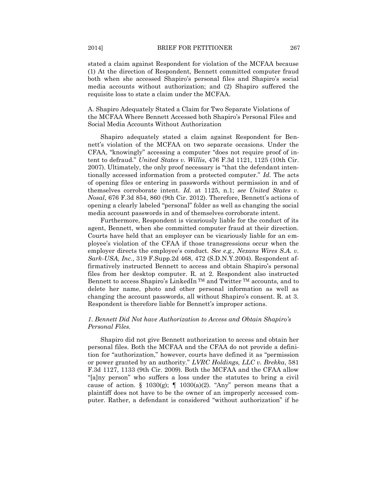stated a claim against Respondent for violation of the MCFAA because (1) At the direction of Respondent, Bennett committed computer fraud both when she accessed Shapiro's personal files and Shapiro's social media accounts without authorization; and (2) Shapiro suffered the requisite loss to state a claim under the MCFAA.

A. Shapiro Adequately Stated a Claim for Two Separate Violations of the MCFAA Where Bennett Accessed both Shapiro's Personal Files and Social Media Accounts Without Authorization

Shapiro adequately stated a claim against Respondent for Bennett's violation of the MCFAA on two separate occasions. Under the CFAA, "knowingly" accessing a computer "does not require proof of intent to defraud.‖ *United States v. Willis*, 476 F.3d 1121, 1125 (10th Cir. 2007). Ultimately, the only proof necessary is "that the defendant intentionally accessed information from a protected computer." *Id.* The acts of opening files or entering in passwords without permission in and of themselves corroborate intent. *Id.* at 1125, n.1; *see United States v. Nosal*, 676 F.3d 854, 860 (9th Cir. 2012). Therefore, Bennett's actions of opening a clearly labeled "personal" folder as well as changing the social media account passwords in and of themselves corroborate intent.

Furthermore, Respondent is vicariously liable for the conduct of its agent, Bennett, when she committed computer fraud at their direction. Courts have held that an employer can be vicariously liable for an employee's violation of the CFAA if those transgressions occur when the employer directs the employee's conduct. *See e.g., Nexans Wires S.A. v. Sark-USA, Inc*., 319 F.Supp.2d 468, 472 (S.D.N.Y.2004). Respondent affirmatively instructed Bennett to access and obtain Shapiro's personal files from her desktop computer. R. at 2. Respondent also instructed Bennett to access Shapiro's LinkedIn<sup>™</sup> and Twitter<sup>™</sup> accounts, and to delete her name, photo and other personal information as well as changing the account passwords, all without Shapiro's consent. R. at 3. Respondent is therefore liable for Bennett's improper actions.

#### *1. Bennett Did Not have Authorization to Access and Obtain Shapiro's Personal Files.*

Shapiro did not give Bennett authorization to access and obtain her personal files. Both the MCFAA and the CFAA do not provide a definition for "authorization," however, courts have defined it as "permission or power granted by an authority.‖ *LVRC Holdings, LLC v. Brekka*, 581 F.3d 1127, 1133 (9th Cir. 2009). Both the MCFAA and the CFAA allow "[a]ny person" who suffers a loss under the statutes to bring a civil cause of action. § 1030(g);  $\parallel$  1030(a)(2). "Any" person means that a plaintiff does not have to be the owner of an improperly accessed computer. Rather, a defendant is considered "without authorization" if he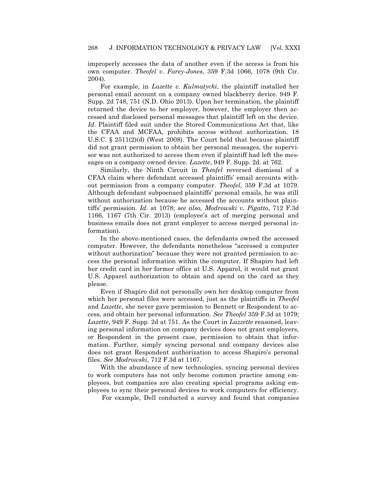improperly accesses the data of another even if the access is from his own computer. *Theofel v. Farey-Jones*, 359 F.3d 1066, 1078 (9th Cir. 2004).

For example, in *Lazette v. Kulmatycki*, the plaintiff installed her personal email account on a company owned blackberry device. 949 F. Supp. 2d 748, 751 (N.D. Ohio 2013). Upon her termination, the plaintiff returned the device to her employer, however, the employer then accessed and disclosed personal messages that plaintiff left on the device. *Id.* Plaintiff filed suit under the Stored Communications Act that, like the CFAA and MCFAA, prohibits access without authorization. 18 U.S.C.  $\S 2511(2)(d)$  (West 2008). The Court held that because plaintiff did not grant permission to obtain her personal messages, the supervisor was not authorized to access them even if plaintiff had left the messages on a company owned device. *Lazette*, 949 F. Supp. 2d. at 762.

Similarly, the Ninth Circuit in *Theofel* reversed dismissal of a CFAA claim where defendant accessed plaintiffs' email accounts without permission from a company computer. *Theofel*, 359 F.3d at 1079. Although defendant subpoenaed plaintiffs' personal emails, he was still without authorization because he accessed the accounts without plaintiffs' permission. *Id.* at 1078; *see also, Modrowski v. Pigatto*, 712 F.3d 1166, 1167 (7th Cir. 2013) (employee's act of merging personal and business emails does not grant employer to access merged personal information).

In the above-mentioned cases, the defendants owned the accessed computer. However, the defendants nonetheless "accessed a computer without authorization" because they were not granted permission to access the personal information within the computer. If Shapiro had left her credit card in her former office at U.S. Apparel, it would not grant U.S. Apparel authorization to obtain and spend on the card as they please.

Even if Shapiro did not personally own her desktop computer from which her personal files were accessed, just as the plaintiffs in *Theofel* and *Lazette*, she never gave permission to Bennett or Respondent to access, and obtain her personal information. *See Theofel* 359 F.3d at 1079; *Lazette*, 949 F. Supp. 2d at 751. As the Court in *Lazzette* reasoned, leaving personal information on company devices does not grant employers, or Respondent in the present case, permission to obtain that information. Further, simply syncing personal and company devices also does not grant Respondent authorization to access Shapiro's personal files. *See Modrowski*, 712 F.3d at 1167.

With the abundance of new technologies, syncing personal devices to work computers has not only become common practice among employees, but companies are also creating special programs asking employees to sync their personal devices to work computers for efficiency.

For example, Dell conducted a survey and found that companies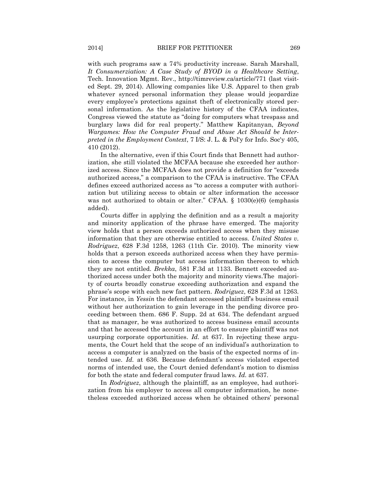with such programs saw a 74% productivity increase. Sarah Marshall, *It Consumerziation: A Case Study of BYOD in a Healthcare Setting*, Tech. Innovation Mgmt. Rev., http://timreview.ca/article/771 (last visited Sept. 29, 2014). Allowing companies like U.S. Apparel to then grab whatever synced personal information they please would jeopardize every employee's protections against theft of electronically stored personal information. As the legislative history of the CFAA indicates, Congress viewed the statute as "doing for computers what trespass and burglary laws did for real property." Matthew Kapitanyan, *Beyond Wargames: How the Computer Fraud and Abuse Act Should be Interpreted in the Employment Context*, 7 I/S: J. L. & Pol'y for Info. Soc'y 405, 410 (2012).

In the alternative, even if this Court finds that Bennett had authorization, she still violated the MCFAA because she exceeded her authorized access. Since the MCFAA does not provide a definition for "exceeds" authorized access," a comparison to the CFAA is instructive. The CFAA defines exceed authorized access as "to access a computer with authorization but utilizing access to obtain or alter information the accessor was not authorized to obtain or alter." CFAA.  $\S$  1030(e)(6) (emphasis added).

Courts differ in applying the definition and as a result a majority and minority application of the phrase have emerged. The majority view holds that a person exceeds authorized access when they misuse information that they are otherwise entitled to access. *United States v. Rodriguez*, 628 F.3d 1258, 1263 (11th Cir. 2010). The minority view holds that a person exceeds authorized access when they have permission to access the computer but access information thereon to which they are not entitled. *Brekka*, 581 F.3d at 1133. Bennett exceeded authorized access under both the majority and minority views.The majority of courts broadly construe exceeding authorization and expand the phrase's scope with each new fact pattern. *Rodriguez*, 628 F.3d at 1263. For instance, in *Yessin* the defendant accessed plaintiff's business email without her authorization to gain leverage in the pending divorce proceeding between them. 686 F. Supp. 2d at 634. The defendant argued that as manager, he was authorized to access business email accounts and that he accessed the account in an effort to ensure plaintiff was not usurping corporate opportunities. *Id.* at 637. In rejecting these arguments, the Court held that the scope of an individual's authorization to access a computer is analyzed on the basis of the expected norms of intended use. *Id.* at 636. Because defendant's access violated expected norms of intended use, the Court denied defendant's motion to dismiss for both the state and federal computer fraud laws. *Id.* at 637.

In *Rodriguez*, although the plaintiff, as an employee, had authorization from his employer to access all computer information, he nonetheless exceeded authorized access when he obtained others' personal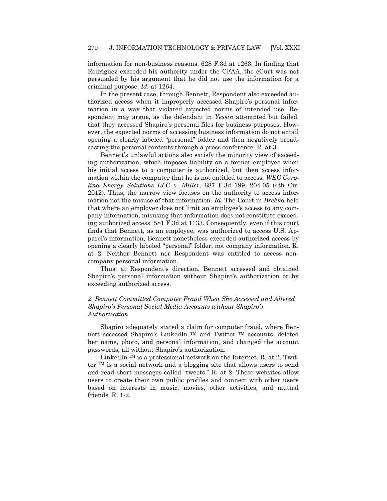information for non-business reasons. 628 F.3d at 1263. In finding that Rodriguez exceeded his authority under the CFAA, the cCurt was not persuaded by his argument that he did not use the information for a criminal purpose. *Id.* at 1264.

In the present case, through Bennett, Respondent also exceeded authorized access when it improperly accessed Shapiro's personal information in a way that violated expected norms of intended use. Respondent may argue, as the defendant in *Yessin* attempted but failed, that they accessed Shapiro's personal files for business purposes. However, the expected norms of accessing business information do not entail opening a clearly labeled "personal" folder and then negatively broadcasting the personal contents through a press conference. R. at 3.

Bennett's unlawful actions also satisfy the minority view of exceeding authorization, which imposes liability on a former employee when his initial access to a computer is authorized, but then access information within the computer that he is not entitled to access. *WEC Carolina Energy Solutions LLC v. Miller*, 687 F.3d 199, 204-05 (4th Cir. 2012). Thus, the narrow view focuses on the authority to access information not the misuse of that information. *Id.* The Court in *Brekka* held that where an employer does not limit an employee's access to any company information, misusing that information does not constitute exceeding authorized access. 581 F.3d at 1133. Consequently, even if this court finds that Bennett, as an employee, was authorized to access U.S. Apparel's information, Bennett nonetheless exceeded authorized access by opening a clearly labeled "personal" folder, not company information. R. at 2. Neither Bennett nor Respondent was entitled to access noncompany personal information.

Thus, at Respondent's direction, Bennett accessed and obtained Shapiro's personal information without Shapiro's authorization or by exceeding authorized access.

### *2. Bennett Committed Computer Fraud When She Accessed and Altered Shapiro's Personal Social Media Accounts without Shapiro's Authorization*

Shapiro adequately stated a claim for computer fraud, where Bennett accessed Shapiro's LinkedIn TM and Twitter TM accounts, deleted her name, photo, and personal information, and changed the account passwords, all without Shapiro's authorization.

LinkedIn  $TM$  is a professional network on the Internet. R. at 2. Twitter TM is a social network and a blogging site that allows users to send and read short messages called "tweets." R. at 2. These websites allow users to create their own public profiles and connect with other users based on interests in music, movies, other activities, and mutual friends. R. 1-2.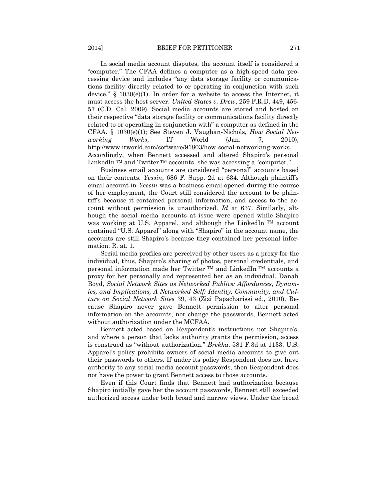In social media account disputes, the account itself is considered a ―computer.‖ The CFAA defines a computer as a high-speed data processing device and includes "any data storage facility or communications facility directly related to or operating in conjunction with such device." § 1030 $(e)(1)$ . In order for a website to access the Internet, it must access the host server. *United States v. Drew*, 259 F.R.D. 449, 456- 57 (C.D. Cal. 2009). Social media accounts are stored and hosted on their respective "data storage facility or communications facility directly related to or operating in conjunction with" a computer as defined in the CFAA. § 1030(e)(1); See Steven J. Vaughan-Nichols, *How Social Networking Works*, IT World (Jan. 7, 2010), http://www.itworld.com/software/91803/how-social-networking-works. Accordingly, when Bennett accessed and altered Shapiro's personal LinkedIn  $TM$  and Twitter  $TM$  accounts, she was accessing a "computer."

Business email accounts are considered "personal" accounts based on their contents. *Yessin*, 686 F. Supp. 2d at 634. Although plaintiff's email account in *Yessin* was a business email opened during the course of her employment, the Court still considered the account to be plaintiff's because it contained personal information, and access to the account without permission is unauthorized. *Id* at 637. Similarly, although the social media accounts at issue were opened while Shapiro was working at U.S. Apparel, and although the LinkedIn  $TM$  account contained "U.S. Apparel" along with "Shapiro" in the account name, the accounts are still Shapiro's because they contained her personal information. R. at. 1.

Social media profiles are perceived by other users as a proxy for the individual, thus, Shapiro's sharing of photos, personal credentials, and personal information made her Twitter  $TM$  and LinkedIn  $TM$  accounts a proxy for her personally and represented her as an individual. Danah Boyd, *Social Network Sites as Networked Publics: Affordances, Dynamics, and Implications, A Networked Self: Identity, Community, and Culture on Social Network Sites* 39, 43 (Zizi Papacharissi ed., 2010). Because Shapiro never gave Bennett permission to alter personal information on the accounts, nor change the passwords, Bennett acted without authorization under the MCFAA.

Bennett acted based on Respondent's instructions not Shapiro's, and where a person that lacks authority grants the permission, access is construed as "without authorization." *Brekka*, 581 F.3d at 1133. U.S. Apparel's policy prohibits owners of social media accounts to give out their passwords to others. If under its policy Respondent does not have authority to any social media account passwords, then Respondent does not have the power to grant Bennett access to those accounts.

Even if this Court finds that Bennett had authorization because Shapiro initially gave her the account passwords, Bennett still exceeded authorized access under both broad and narrow views. Under the broad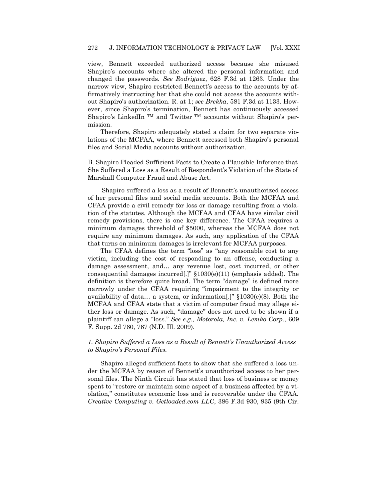view, Bennett exceeded authorized access because she misused Shapiro's accounts where she altered the personal information and changed the passwords. *See Rodriguez*, 628 F.3d at 1263. Under the narrow view, Shapiro restricted Bennett's access to the accounts by affirmatively instructing her that she could not access the accounts without Shapiro's authorization. R. at 1; *see Brekka*, 581 F.3d at 1133. However, since Shapiro's termination, Bennett has continuously accessed Shapiro's LinkedIn  $TM$  and Twitter  $TM$  accounts without Shapiro's permission.

Therefore, Shapiro adequately stated a claim for two separate violations of the MCFAA, where Bennett accessed both Shapiro's personal files and Social Media accounts without authorization.

B. Shapiro Pleaded Sufficient Facts to Create a Plausible Inference that She Suffered a Loss as a Result of Respondent's Violation of the State of Marshall Computer Fraud and Abuse Act.

Shapiro suffered a loss as a result of Bennett's unauthorized access of her personal files and social media accounts. Both the MCFAA and CFAA provide a civil remedy for loss or damage resulting from a violation of the statutes. Although the MCFAA and CFAA have similar civil remedy provisions, there is one key difference. The CFAA requires a minimum damages threshold of \$5000, whereas the MCFAA does not require any minimum damages. As such, any application of the CFAA that turns on minimum damages is irrelevant for MCFAA purposes.

The CFAA defines the term "loss" as "any reasonable cost to any victim, including the cost of responding to an offense, conducting a damage assessment, and… any revenue lost, cost incurred, or other consequential damages incurred[.]"  $$1030(e)(11)$  (emphasis added). The definition is therefore quite broad. The term "damage" is defined more narrowly under the CFAA requiring "impairment to the integrity or availability of data... a system, or information[.]"  $$1030(e)(8)$ . Both the MCFAA and CFAA state that a victim of computer fraud may allege either loss or damage. As such, "damage" does not need to be shown if a plaintiff can allege a "loss." See e.g., Motorola, Inc. v. Lemko Corp., 609 F. Supp. 2d 760, 767 (N.D. Ill. 2009).

#### *1. Shapiro Suffered a Loss as a Result of Bennett's Unauthorized Access to Shapiro's Personal Files.*

Shapiro alleged sufficient facts to show that she suffered a loss under the MCFAA by reason of Bennett's unauthorized access to her personal files. The Ninth Circuit has stated that loss of business or money spent to "restore or maintain some aspect of a business affected by a violation," constitutes economic loss and is recoverable under the CFAA. *Creative Computing v. Getloaded.com LLC*, 386 F.3d 930, 935 (9th Cir.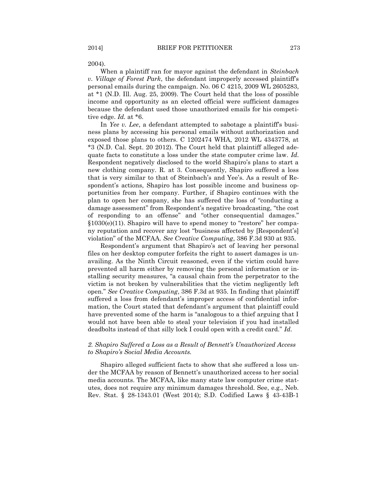2004).

When a plaintiff ran for mayor against the defendant in *Steinbach v. Village of Forest Park*, the defendant improperly accessed plaintiff's personal emails during the campaign. No. 06 C 4215, 2009 WL 2605283, at \*1 (N.D. Ill. Aug. 25, 2009). The Court held that the loss of possible income and opportunity as an elected official were sufficient damages because the defendant used those unauthorized emails for his competitive edge. *Id.* at \*6.

In *Yee v. Lee*, a defendant attempted to sabotage a plaintiff's business plans by accessing his personal emails without authorization and exposed those plans to others. C 1202474 WHA, 2012 WL 4343778, at \*3 (N.D. Cal. Sept. 20 2012). The Court held that plaintiff alleged adequate facts to constitute a loss under the state computer crime law. *Id.* Respondent negatively disclosed to the world Shapiro's plans to start a new clothing company. R. at 3. Consequently, Shapiro suffered a loss that is very similar to that of Steinbach's and Yee's. As a result of Respondent's actions, Shapiro has lost possible income and business opportunities from her company. Further, if Shapiro continues with the plan to open her company, she has suffered the loss of "conducting a damage assessment" from Respondent's negative broadcasting, "the cost of responding to an offense" and "other consequential damages."  $§1030(e)(11)$ . Shapiro will have to spend money to "restore" her company reputation and recover any lost "business affected by [Respondent's] violation‖ of the MCFAA*. See Creative Computing*, 386 F.3d 930 at 935.

Respondent's argument that Shapiro's act of leaving her personal files on her desktop computer forfeits the right to assert damages is unavailing. As the Ninth Circuit reasoned, even if the victim could have prevented all harm either by removing the personal information or installing security measures, "a causal chain from the perpetrator to the victim is not broken by vulnerabilities that the victim negligently left open.‖ *See Creative Computing*, 386 F.3d at 935. In finding that plaintiff suffered a loss from defendant's improper access of confidential information, the Court stated that defendant's argument that plaintiff could have prevented some of the harm is "analogous to a thief arguing that I would not have been able to steal your television if you had installed deadbolts instead of that silly lock I could open with a credit card." Id.

#### *2. Shapiro Suffered a Loss as a Result of Bennett's Unauthorized Access to Shapiro's Social Media Accounts.*

Shapiro alleged sufficient facts to show that she suffered a loss under the MCFAA by reason of Bennett's unauthorized access to her social media accounts. The MCFAA, like many state law computer crime statutes, does not require any minimum damages threshold. See, e.g., Neb. Rev. Stat. § 28-1343.01 (West 2014); S.D. Codified Laws § 43-43B-1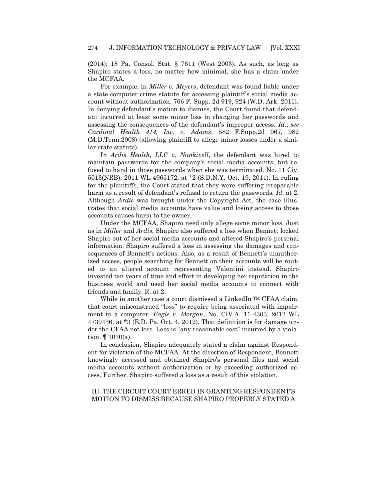(2014); 18 Pa. Consol. Stat. § 7611 (West 2003). As such, as long as Shapiro states a loss, no matter how minimal, she has a claim under the MCFAA.

For example, in *Miller v. Meyers*, defendant was found liable under a state computer crime statute for accessing plaintiff's social media account without authorization. 766 F. Supp. 2d 919, 924 (W.D. Ark. 2011). In denying defendant's motion to dismiss, the Court found that defendant incurred at least some minor loss in changing her passwords and assessing the consequences of the defendant's improper access. *Id*.; *see Cardinal Health 414, Inc. v. Adams*, 582 F.Supp.2d 967, 982 (M.D.Tenn.2008) (allowing plaintiff to allege minor losses under a similar state statute).

In *Ardis Health, LLC v. Nankivell*, the defendant was hired to maintain passwords for the company's social media accounts, but refused to hand in those passwords when she was terminated. No. 11 Civ. 5013(NRB), 2011 WL 4965172, at \*2 (S.D.N.Y. Oct. 19, 2011). In ruling for the plaintiffs, the Court stated that they were suffering irreparable harm as a result of defendant's refusal to return the passwords. *Id.* at 2. Although *Ardis* was brought under the Copyright Act, the case illustrates that social media accounts have value and losing access to those accounts causes harm to the owner.

Under the MCFAA, Shapiro need only allege some minor loss. Just as in *Miller* and *Ardis*, Shapiro also suffered a loss when Bennett locked Shapiro out of her social media accounts and altered Shapiro's personal information. Shapiro suffered a loss in assessing the damages and consequences of Bennett's actions. Also, as a result of Bennett's unauthorized access, people searching for Bennett on their accounts will be routed to an altered account representing Valentini instead. Shapiro invested ten years of time and effort in developing her reputation in the business world and used her social media accounts to connect with friends and family. R. at 2.

While in another case a court dismissed a LinkedIn <sup>TM</sup> CFAA claim, that court misconstrued "loss" to require being associated with impairment to a computer. *Eagle v. Morgan*, No. CIV.A. 11-4303, 2012 WL 4739436, at  $*3$  (E.D. Pa. Oct. 4, 2012). That definition is for damage under the CFAA not loss. Loss is "any reasonable cost" incurred by a violation. ¶ 1030(a).

In conclusion, Shapiro adequately stated a claim against Respondent for violation of the MCFAA. At the direction of Respondent, Bennett knowingly accessed and obtained Shapiro's personal files and social media accounts without authorization or by exceeding authorized access. Further, Shapiro suffered a loss as a result of this violation.

#### III. THE CIRCUIT COURT ERRED IN GRANTING RESPONDENT'S MOTION TO DISMISS BECAUSE SHAPIRO PROPERLY STATED A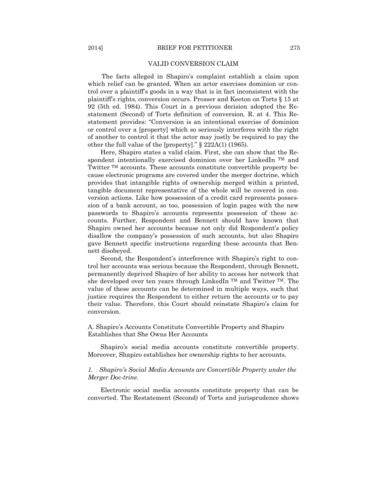#### VALID CONVERSION CLAIM

The facts alleged in Shapiro's complaint establish a claim upon which relief can be granted. When an actor exercises dominion or control over a plaintiff's goods in a way that is in fact inconsistent with the plaintiff's rights, conversion occurs. Prosser and Keeton on Torts § 15 at 92 (5th ed. 1984). This Court in a previous decision adopted the Restatement (Second) of Torts definition of conversion. R. at 4. This Restatement provides: "Conversion is an intentional exercise of dominion or control over a [property] which so seriously interferes with the right of another to control it that the actor may justly be required to pay the other the full value of the [property]."  $\S$  222A(1) (1965).

Here, Shapiro states a valid claim. First, she can show that the Respondent intentionally exercised dominion over her LinkedIn<sup>TM</sup> and Twitter TM accounts. These accounts constitute convertible property because electronic programs are covered under the merger doctrine, which provides that intangible rights of ownership merged within a printed, tangible document representative of the whole will be covered in conversion actions. Like how possession of a credit card represents possession of a bank account, so too, possession of login pages with the new passwords to Shapiro's accounts represents possession of these accounts. Further, Respondent and Bennett should have known that Shapiro owned her accounts because not only did Respondent's policy disallow the company's possession of such accounts, but also Shapiro gave Bennett specific instructions regarding these accounts that Bennett disobeyed.

Second, the Respondent's interference with Shapiro's right to control her accounts was serious because the Respondent, through Bennett, permanently deprived Shapiro of her ability to access her network that she developed over ten years through LinkedIn<sup>TM</sup> and Twitter<sup>TM</sup>. The value of these accounts can be determined in multiple ways, such that justice requires the Respondent to either return the accounts or to pay their value. Therefore, this Court should reinstate Shapiro's claim for conversion.

A. Shapiro's Accounts Constitute Convertible Property and Shapiro Establishes that She Owns Her Accounts

Shapiro's social media accounts constitute convertible property. Moreover, Shapiro establishes her ownership rights to her accounts.

#### *1. Shapiro's Social Media Accounts are Convertible Property under the Merger Doc-trine.*

Electronic social media accounts constitute property that can be converted. The Restatement (Second) of Torts and jurisprudence shows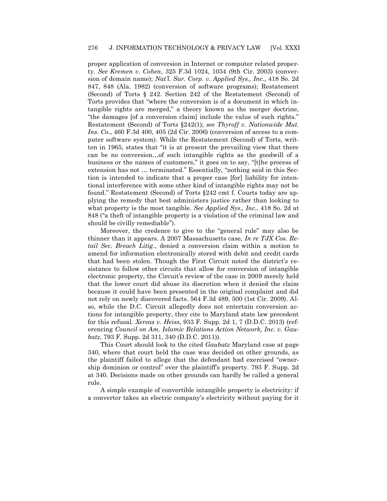proper application of conversion in Internet or computer related property. *See Kremen v. Cohen*, 325 F.3d 1024, 1034 (9th Cir. 2003) (conversion of domain name); *Nat'l. Sur. Corp. v. Applied Sys., Inc*., 418 So. 2d 847, 848 (Ala. 1982) (conversion of software programs); Restatement (Second) of Torts § 242. Section 242 of the Restatement (Second) of Torts provides that "where the conversion is of a document in which intangible rights are merged," a theory known as the merger doctrine, "the damages [of a conversion claim] include the value of such rights." Restatement (Second) of Torts §242(1); *see Thyroff v. Nationwide Mut. Ins. Co*., 460 F.3d 400, 405 (2d Cir. 2006) (conversion of access to a computer software system). While the Restatement (Second) of Torts, written in 1965, states that "it is at present the prevailing view that there can be no conversion…of such intangible rights as the goodwill of a business or the names of customers," it goes on to say, "[t]he process of extension has not ... terminated." Essentially, "nothing said in this Section is intended to indicate that a proper case [for] liability for intentional interference with some other kind of intangible rights may not be found." Restatement (Second) of Torts §242 cmt f. Courts today are applying the remedy that best administers justice rather than looking to what property is the most tangible. *See Applied Sys., Inc.*, 418 So. 2d at 848 ("a theft of intangible property is a violation of the criminal law and should be civilly remediable".

Moreover, the credence to give to the "general rule" may also be thinner than it appears. A 2007 Massachusetts case, *In re TJX Cos. Retail Sec. Breach Litig*., denied a conversion claim within a motion to amend for information electronically stored with debit and credit cards that had been stolen. Though the First Circuit noted the district's resistance to follow other circuits that allow for conversion of intangible electronic property, the Circuit's review of the case in 2009 merely held that the lower court did abuse its discretion when it denied the claim because it could have been presented in the original complaint and did not rely on newly discovered facts. 564 F.3d 489, 500 (1st Cir. 2009). Also, while the D.C. Circuit allegedly does not entertain conversion actions for intangible property, they cite to Maryland state law precedent for this refusal. *Xereas v. Heiss*, 933 F. Supp. 2d 1, 7 (D.D.C. 2013) (referencing *Council on Am. Islamic Relations Action Network, Inc. v. Gaubatz*, 793 F. Supp. 2d 311, 340 (D.D.C. 2011)).

This Court should look to the cited *Gaubatz* Maryland case at page 340, where that court held the case was decided on other grounds, as the plaintiff failed to allege that the defendant had exercised "ownership dominion or control" over the plaintiff's property. 793 F. Supp. 2d at 340. Decisions made on other grounds can hardly be called a general rule.

A simple example of convertible intangible property is electricity: if a converter takes an electric company's electricity without paying for it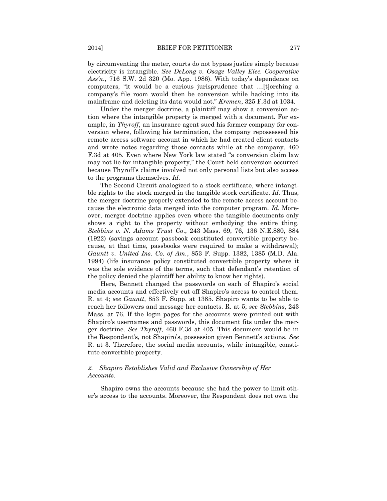by circumventing the meter, courts do not bypass justice simply because electricity is intangible. *See DeLong v. Osage Valley Elec. Cooperative Ass'n*., 716 S.W. 2d 320 (Mo. App. 1986). With today's dependence on computers, "it would be a curious jurisprudence that ...[t]orching a company's file room would then be conversion while hacking into its mainframe and deleting its data would not.‖ *Kremen*, 325 F.3d at 1034.

Under the merger doctrine, a plaintiff may show a conversion action where the intangible property is merged with a document. For example, in *Thyroff*, an insurance agent sued his former company for conversion where, following his termination, the company repossessed his remote access software account in which he had created client contacts and wrote notes regarding those contacts while at the company. 460 F.3d at 405. Even where New York law stated "a conversion claim law may not lie for intangible property," the Court held conversion occurred because Thyroff's claims involved not only personal lists but also access to the programs themselves. *Id.*

The Second Circuit analogized to a stock certificate, where intangible rights to the stock merged in the tangible stock certificate. *Id.* Thus, the merger doctrine properly extended to the remote access account because the electronic data merged into the computer program. *Id.* Moreover, merger doctrine applies even where the tangible documents only shows a right to the property without embodying the entire thing. *Stebbins v. N. Adams Trust Co*., 243 Mass. 69, 76, 136 N.E.880, 884 (1922) (savings account passbook constituted convertible property because, at that time, passbooks were required to make a withdrawal); *Gauntt v. United Ins. Co. of Am.*, 853 F. Supp. 1382, 1385 (M.D. Ala. 1994) (life insurance policy constituted convertible property where it was the sole evidence of the terms, such that defendant's retention of the policy denied the plaintiff her ability to know her rights).

Here, Bennett changed the passwords on each of Shapiro's social media accounts and effectively cut off Shapiro's access to control them. R. at 4; *see Gauntt*, 853 F. Supp. at 1385. Shapiro wants to be able to reach her followers and message her contacts. R. at 5; *see Stebbins*, 243 Mass. at 76. If the login pages for the accounts were printed out with Shapiro's usernames and passwords, this document fits under the merger doctrine. *See Thyroff*, 460 F.3d at 405. This document would be in the Respondent's, not Shapiro's, possession given Bennett's actions. *See*  R. at 3. Therefore, the social media accounts, while intangible, constitute convertible property.

#### *2. Shapiro Establishes Valid and Exclusive Ownership of Her Accounts.*

Shapiro owns the accounts because she had the power to limit other's access to the accounts. Moreover, the Respondent does not own the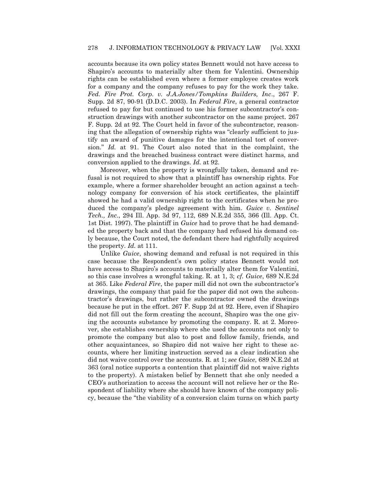accounts because its own policy states Bennett would not have access to Shapiro's accounts to materially alter them for Valentini. Ownership rights can be established even where a former employee creates work for a company and the company refuses to pay for the work they take. *Fed. Fire Prot. Corp. v. J.A.Jones/Tompkins Builders, Inc*., 267 F. Supp. 2d 87, 90-91 (D.D.C. 2003). In *Federal Fire*, a general contractor refused to pay for but continued to use his former subcontractor's construction drawings with another subcontractor on the same project. 267 F. Supp. 2d at 92. The Court held in favor of the subcontractor, reasoning that the allegation of ownership rights was "clearly sufficient to justify an award of punitive damages for the intentional tort of conversion." *Id.* at 91. The Court also noted that in the complaint, the drawings and the breached business contract were distinct harms, and conversion applied to the drawings. *Id.* at 92.

Moreover, when the property is wrongfully taken, demand and refusal is not required to show that a plaintiff has ownership rights. For example, where a former shareholder brought an action against a technology company for conversion of his stock certificates, the plaintiff showed he had a valid ownership right to the certificates when he produced the company's pledge agreement with him. *Guice v. Sentinel Tech., Inc*., 294 Ill. App. 3d 97, 112, 689 N.E.2d 355, 366 (Ill. App. Ct. 1st Dist. 1997). The plaintiff in *Guice* had to prove that he had demanded the property back and that the company had refused his demand only because, the Court noted, the defendant there had rightfully acquired the property. *Id.* at 111.

Unlike *Guice*, showing demand and refusal is not required in this case because the Respondent's own policy states Bennett would not have access to Shapiro's accounts to materially alter them for Valentini, so this case involves a wrongful taking. R. at 1, 3; *cf. Guice*, 689 N.E.2d at 365. Like *Federal Fire*, the paper mill did not own the subcontractor's drawings, the company that paid for the paper did not own the subcontractor's drawings, but rather the subcontractor owned the drawings because he put in the effort. 267 F. Supp 2d at 92. Here, even if Shapiro did not fill out the form creating the account, Shapiro was the one giving the accounts substance by promoting the company. R. at 2. Moreover, she establishes ownership where she used the accounts not only to promote the company but also to post and follow family, friends, and other acquaintances, so Shapiro did not waive her right to these accounts, where her limiting instruction served as a clear indication she did not waive control over the accounts. R. at 1; *see Guice*, 689 N.E.2d at 363 (oral notice supports a contention that plaintiff did not waive rights to the property). A mistaken belief by Bennett that she only needed a CEO's authorization to access the account will not relieve her or the Respondent of liability where she should have known of the company policy, because the "the viability of a conversion claim turns on which party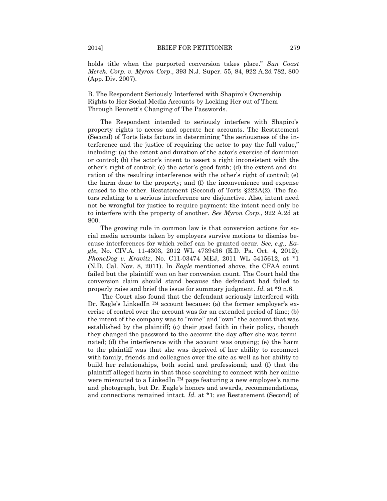holds title when the purported conversion takes place." Sun Coast *Merch. Corp. v. Myron Corp*., 393 N.J. Super. 55, 84, 922 A.2d 782, 800 (App. Div. 2007).

B. The Respondent Seriously Interfered with Shapiro's Ownership Rights to Her Social Media Accounts by Locking Her out of Them Through Bennett's Changing of The Passwords.

The Respondent intended to seriously interfere with Shapiro's property rights to access and operate her accounts. The Restatement (Second) of Torts lists factors in determining "the seriousness of the interference and the justice of requiring the actor to pay the full value," including: (a) the extent and duration of the actor's exercise of dominion or control; (b) the actor's intent to assert a right inconsistent with the other's right of control; (c) the actor's good faith; (d) the extent and duration of the resulting interference with the other's right of control; (e) the harm done to the property; and (f) the inconvenience and expense caused to the other. Restatement (Second) of Torts §222A(2). The factors relating to a serious interference are disjunctive. Also, intent need not be wrongful for justice to require payment: the intent need only be to interfere with the property of another. *See Myron Corp*., 922 A.2d at 800.

The growing rule in common law is that conversion actions for social media accounts taken by employers survive motions to dismiss because interferences for which relief can be granted occur. *See, e.g., Eagle*, No. CIV.A. 11-4303, 2012 WL 4739436 (E.D. Pa. Oct. 4, 2012); *PhoneDog v. Kravitz*, No. C11-03474 MEJ, 2011 WL 5415612, at \*1 (N.D. Cal. Nov. 8, 2011). In *Eagle* mentioned above, the CFAA count failed but the plaintiff won on her conversion count. The Court held the conversion claim should stand because the defendant had failed to properly raise and brief the issue for summary judgment. *Id.* at \*9 n.6.

The Court also found that the defendant seriously interfered with Dr. Eagle's LinkedIn TM account because: (a) the former employer's exercise of control over the account was for an extended period of time; (b) the intent of the company was to "mine" and "own" the account that was established by the plaintiff; (c) their good faith in their policy, though they changed the password to the account the day after she was terminated; (d) the interference with the account was ongoing; (e) the harm to the plaintiff was that she was deprived of her ability to reconnect with family, friends and colleagues over the site as well as her ability to build her relationships, both social and professional; and (f) that the plaintiff alleged harm in that those searching to connect with her online were misrouted to a LinkedIn TM page featuring a new employee's name and photograph, but Dr. Eagle's honors and awards, recommendations, and connections remained intact. *Id.* at \*1; *see* Restatement (Second) of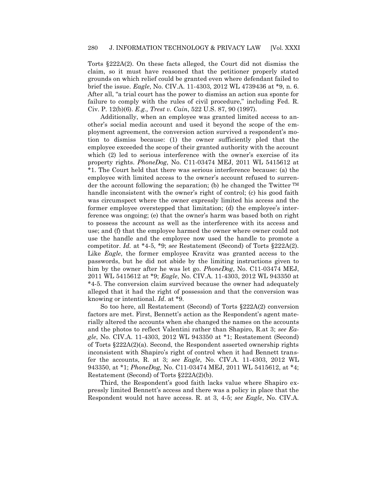Torts §222A(2). On these facts alleged, the Court did not dismiss the claim, so it must have reasoned that the petitioner properly stated grounds on which relief could be granted even where defendant failed to brief the issue. *Eagle*, No. CIV.A. 11-4303, 2012 WL 4739436 at \*9, n. 6. After all, "a trial court has the power to dismiss an action sua sponte for failure to comply with the rules of civil procedure," including Fed. R. Civ. P. 12(b)(6). *E.g., Trest v. Cain*, 522 U.S. 87, 90 (1997).

Additionally, when an employee was granted limited access to another's social media account and used it beyond the scope of the employment agreement, the conversion action survived a respondent's motion to dismiss because: (1) the owner sufficiently pled that the employee exceeded the scope of their granted authority with the account which (2) led to serious interference with the owner's exercise of its property rights. *PhoneDog*, No. C11-03474 MEJ, 2011 WL 5415612 at \*1. The Court held that there was serious interference because: (a) the employee with limited access to the owner's account refused to surrender the account following the separation; (b) he changed the Twitter  $TM$ handle inconsistent with the owner's right of control; (c) his good faith was circumspect where the owner expressly limited his access and the former employee overstepped that limitation; (d) the employee's interference was ongoing; (e) that the owner's harm was based both on right to possess the account as well as the interference with its access and use; and (f) that the employee harmed the owner where owner could not use the handle and the employee now used the handle to promote a competitor. *Id.* at \*4-5, \*9; *see* Restatement (Second) of Torts §222A(2). Like *Eagle*, the former employee Kravitz was granted access to the passwords, but he did not abide by the limiting instructions given to him by the owner after he was let go. *PhoneDog*, No. C11-03474 MEJ, 2011 WL 5415612 at \*9; *Eagle*, No. CIV.A. 11-4303, 2012 WL 943350 at \*4-5. The conversion claim survived because the owner had adequately alleged that it had the right of possession and that the conversion was knowing or intentional. *Id.* at \*9.

So too here, all Restatement (Second) of Torts §222A(2) conversion factors are met. First, Bennett's action as the Respondent's agent materially altered the accounts when she changed the names on the accounts and the photos to reflect Valentini rather than Shapiro, R.at 3; *see Eagle*, No. CIV.A. 11-4303, 2012 WL 943350 at \*1; Restatement (Second) of Torts §222A(2)(a). Second, the Respondent asserted ownership rights inconsistent with Shapiro's right of control when it had Bennett transfer the accounts, R. at 3; *see Eagle*, No. CIV.A. 11-4303, 2012 WL 943350, at \*1; *PhoneDog,* No. C11-03474 MEJ, 2011 WL 5415612, at \*4; Restatement (Second) of Torts §222A(2)(b).

Third, the Respondent's good faith lacks value where Shapiro expressly limited Bennett's access and there was a policy in place that the Respondent would not have access. R. at 3, 4-5; *see Eagle*, No. CIV.A.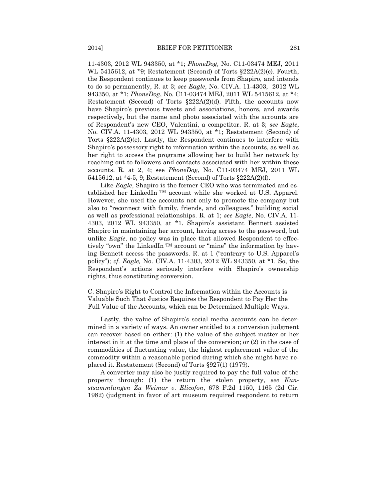11-4303, 2012 WL 943350, at \*1; *PhoneDog,* No. C11-03474 MEJ, 2011 WL 5415612, at \*9; Restatement (Second) of Torts §222A(2)(c). Fourth, the Respondent continues to keep passwords from Shapiro, and intends to do so permanently, R. at 3; *see Eagle*, No. CIV.A. 11-4303, 2012 WL 943350, at \*1; *PhoneDog*, No. C11-03474 MEJ, 2011 WL 5415612, at \*4; Restatement (Second) of Torts §222A(2)(d). Fifth, the accounts now have Shapiro's previous tweets and associations, honors, and awards respectively, but the name and photo associated with the accounts are of Respondent's new CEO, Valentini, a competitor. R. at 3; *see Eagle*, No. CIV.A. 11-4303, 2012 WL 943350, at \*1; Restatement (Second) of Torts §222A(2)(e). Lastly, the Respondent continues to interfere with Shapiro's possessory right to information within the accounts, as well as her right to access the programs allowing her to build her network by reaching out to followers and contacts associated with her within these accounts. R. at 2, 4; see *PhoneDog*, No. C11-03474 MEJ, 2011 WL 5415612, at \*4-5, 9; Restatement (Second) of Torts §222A(2)(f).

Like *Eagle*, Shapiro is the former CEO who was terminated and established her LinkedIn TM account while she worked at U.S. Apparel. However, she used the accounts not only to promote the company but also to "reconnect with family, friends, and colleagues," building social as well as professional relationships. R. at 1; *see Eagle*, No. CIV.A. 11- 4303, 2012 WL 943350, at \*1. Shapiro's assistant Bennett assisted Shapiro in maintaining her account, having access to the password, but unlike *Eagle*, no policy was in place that allowed Respondent to effectively "own" the LinkedIn  $TM$  account or "mine" the information by having Bennett access the passwords. R. at  $1$  ("contrary to U.S. Apparel's policy‖); *cf. Eagle,* No. CIV.A. 11-4303, 2012 WL 943350, at \*1. So, the Respondent's actions seriously interfere with Shapiro's ownership rights, thus constituting conversion.

C. Shapiro's Right to Control the Information within the Accounts is Valuable Such That Justice Requires the Respondent to Pay Her the Full Value of the Accounts, which can be Determined Multiple Ways.

Lastly, the value of Shapiro's social media accounts can be determined in a variety of ways. An owner entitled to a conversion judgment can recover based on either: (1) the value of the subject matter or her interest in it at the time and place of the conversion; or (2) in the case of commodities of fluctuating value, the highest replacement value of the commodity within a reasonable period during which she might have replaced it. Restatement (Second) of Torts §927(1) (1979).

A converter may also be justly required to pay the full value of the property through: (1) the return the stolen property, *see Kunstsammlungen Zu Weimar v. Elicofon*, 678 F.2d 1150, 1165 (2d Cir. 1982) (judgment in favor of art museum required respondent to return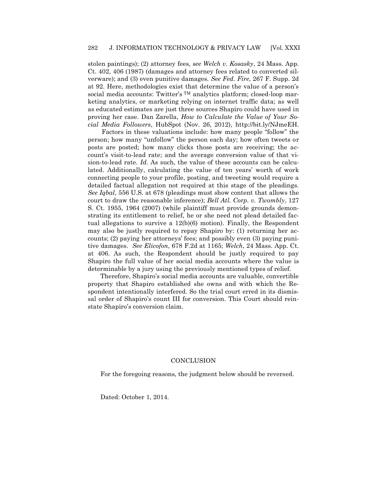stolen paintings); (2) attorney fees, *see Welch v. Kosasky*, 24 Mass. App. Ct. 402, 406 (1987) (damages and attorney fees related to converted silverware); and (3) even punitive damages. *See Fed. Fire*, 267 F. Supp. 2d at 92. Here, methodologies exist that determine the value of a person's social media accounts: Twitter's <sup>TM</sup> analytics platform; closed-loop marketing analytics, or marketing relying on internet traffic data; as well as educated estimates are just three sources Shapiro could have used in proving her case. Dan Zarella, *How to Calculate the Value of Your Social Media Followers*, HubSpot (Nov. 26, 2012), http://bit.ly/NJmeEH.

Factors in these valuations include: how many people "follow" the person; how many "unfollow" the person each day; how often tweets or posts are posted; how many clicks those posts are receiving; the account's visit-to-lead rate; and the average conversion value of that vision-to-lead rate. *Id.* As such, the value of these accounts can be calculated. Additionally, calculating the value of ten years' worth of work connecting people to your profile, posting, and tweeting would require a detailed factual allegation not required at this stage of the pleadings. *See Iqbal*, 556 U.S. at 678 (pleadings must show content that allows the court to draw the reasonable inference); *Bell Atl. Corp. v. Twombly*, 127 S. Ct. 1955, 1964 (2007) (while plaintiff must provide grounds demonstrating its entitlement to relief, he or she need not plead detailed factual allegations to survive a  $12(b)(6)$  motion). Finally, the Respondent may also be justly required to repay Shapiro by: (1) returning her accounts; (2) paying her attorneys' fees; and possibly even (3) paying punitive damages. *See Elicofon*, 678 F.2d at 1165; *Welch*, 24 Mass. App. Ct. at 406. As such, the Respondent should be justly required to pay Shapiro the full value of her social media accounts where the value is determinable by a jury using the previously mentioned types of relief.

Therefore, Shapiro's social media accounts are valuable, convertible property that Shapiro established she owns and with which the Respondent intentionally interfered. So the trial court erred in its dismissal order of Shapiro's count III for conversion. This Court should reinstate Shapiro's conversion claim.

#### **CONCLUSION**

For the foregoing reasons, the judgment below should be reversed.

Dated: October 1, 2014.